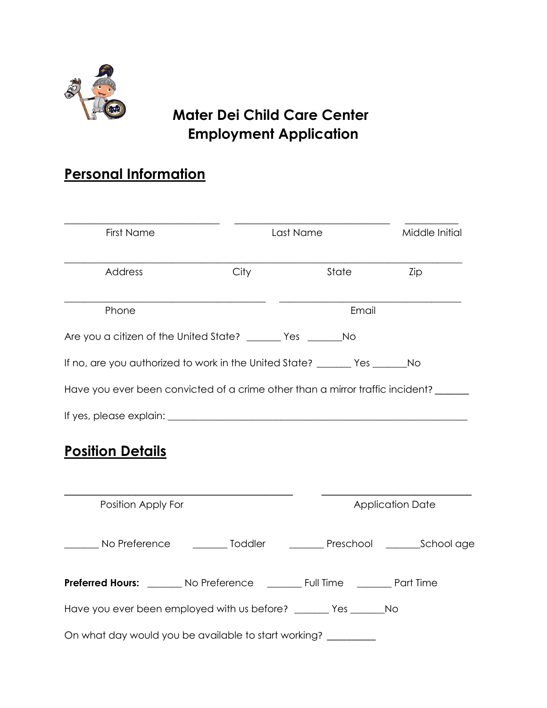

# **Mater Dei Child Care Center Employment Application**

# **Personal Information**

| First Name                     |                                                                                        | Last Name |                         | Middle Initial |  |
|--------------------------------|----------------------------------------------------------------------------------------|-----------|-------------------------|----------------|--|
| Address                        | City                                                                                   | State     | Zip                     |                |  |
| Phone                          |                                                                                        |           | Email                   |                |  |
|                                | Are you a citizen of the United State? ________ Yes __________No                       |           |                         |                |  |
|                                | If no, are you authorized to work in the United State? _______ Yes _______No           |           |                         |                |  |
|                                | Have you ever been convicted of a crime other than a mirror traffic incident?          |           |                         |                |  |
|                                |                                                                                        |           |                         |                |  |
| <u><b>Position Details</b></u> |                                                                                        |           |                         |                |  |
| Position Apply For             |                                                                                        |           | <b>Application Date</b> |                |  |
|                                | ________ No Preference ___________ Toddler ____________ Preschool __________School age |           |                         |                |  |
|                                | Preferred Hours: ________ No Preference _________ Full Time ________ Part Time         |           |                         |                |  |
|                                | Have you ever been employed with us before? ______ Yes _______No                       |           |                         |                |  |
|                                | On what day would you be available to start working? ________                          |           |                         |                |  |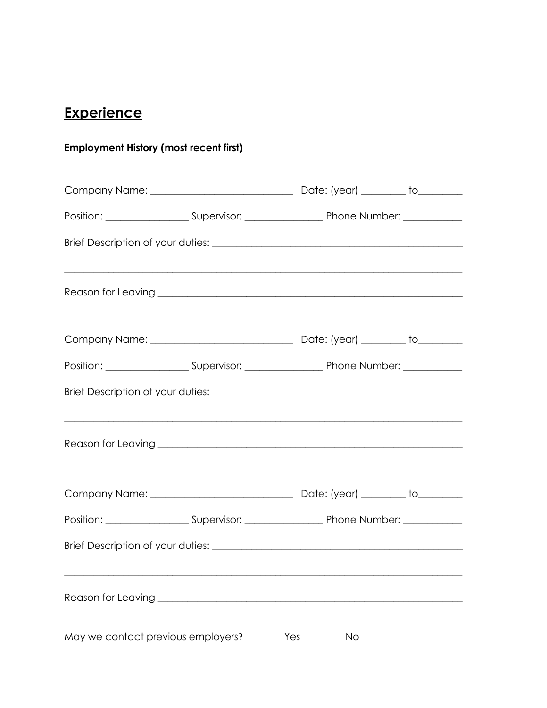# Experience

#### **Employment History (most recent first)**

|                                                             | <u> 1989 - Jan James James James James James James James James James James James James James James James James J</u> |  |
|-------------------------------------------------------------|----------------------------------------------------------------------------------------------------------------------|--|
|                                                             |                                                                                                                      |  |
|                                                             |                                                                                                                      |  |
|                                                             |                                                                                                                      |  |
|                                                             |                                                                                                                      |  |
| May we contact previous employers? ________ Yes ________ No |                                                                                                                      |  |